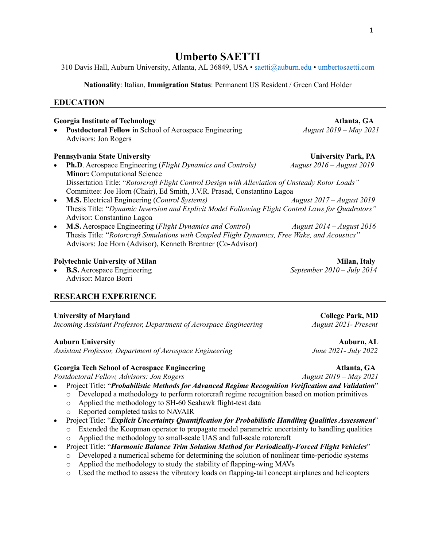# **Umberto SAETTI**

310 Davis Hall, Auburn University, Atlanta, AL 36849, USA • saetti@auburn.edu • umbertosaetti.com

**Nationality**: Italian, **Immigration Status**: Permanent US Resident / Green Card Holder

# **EDUCATION**

# **Georgia Institute of Technology Atlanta, GA**

• **Postdoctoral Fellow** in School of Aerospace Engineering*August 2019 – May 2021* Advisors: Jon Rogers

# **Pennsylvania State University State University Park, PA**

- **Ph.D**. Aerospace Engineering (*Flight Dynamics and Controls) August 2016 – August 2019* **Minor: Computational Science** Dissertation Title: "*Rotorcraft Flight Control Design with Alleviation of Unsteady Rotor Loads"* Committee: Joe Horn (Chair), Ed Smith, J.V.R. Prasad, Constantino Lagoa
- **M.S.** Electrical Engineering (*Control Systems) August 2017 – August 2019* Thesis Title: "*Dynamic Inversion and Explicit Model Following Flight Control Laws for Quadrotors"* Advisor: Constantino Lagoa
- **M.S.** Aerospace Engineering (*Flight Dynamics and Control*) *August 2014 – August 2016* Thesis Title: "*Rotorcraft Simulations with Coupled Flight Dynamics, Free Wake, and Acoustics"* Advisors: Joe Horn (Advisor), Kenneth Brentner (Co-Advisor)

### **Polytechnic University of Milan** Milan Milan, Italy

• **B.S.** Aerospace Engineering *September 2010 – July 2014* Advisor: Marco Borri

# **RESEARCH EXPERIENCE**

#### University of Maryland **College Park, MD**

*Incoming Assistant Professor, Department of Aerospace Engineering August 2021- Present*

*Assistant Professor, Department of Aerospace Engineering June 2021- July 2022*

# **Georgia Tech School of Aerospace Engineering Theoretic Contract Atlanta, GA**

*Postdoctoral Fellow, Advisors: Jon Rogers August 2019 – May 2021*

- Project Title: "*Probabilistic Methods for Advanced Regime Recognition Verification and Validation*"
	- o Developed a methodology to perform rotorcraft regime recognition based on motion primitives o Applied the methodology to SH-60 Seahawk flight-test data
	- o Reported completed tasks to NAVAIR
- Project Title: "*Explicit Uncertainty Quantification for Probabilistic Handling Qualities Assessment*" o Extended the Koopman operator to propagate model parametric uncertainty to handling qualities
	- o Applied the methodology to small-scale UAS and full-scale rotorcraft
- Project Title: "*Harmonic Balance Trim Solution Method for Periodically-Forced Flight Vehicles*"
	- o Developed a numerical scheme for determining the solution of nonlinear time-periodic systems
	- o Applied the methodology to study the stability of flapping-wing MAVs
	- o Used the method to assess the vibratory loads on flapping-tail concept airplanes and helicopters

**Auburn University Auburn, AL**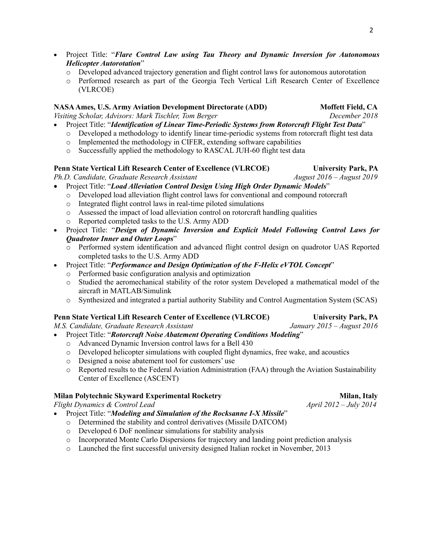- Project Title: "*Flare Control Law using Tau Theory and Dynamic Inversion for Autonomous Helicopter Autorotation*"
	- o Developed advanced trajectory generation and flight control laws for autonomous autorotation
	- o Performed research as part of the Georgia Tech Vertical Lift Research Center of Excellence (VLRCOE)

### **NASA Ames, U.S. Army Aviation Development Directorate (ADD) Moffett Field, CA**

*Visiting Scholar, Advisors: Mark Tischler, Tom Berger December 2018*

- Project Title: "*Identification of Linear Time-Periodic Systems from Rotorcraft Flight Test Data*"
	- o Developed a methodology to identify linear time-periodic systems from rotorcraft flight test data
	- o Implemented the methodology in CIFER, extending software capabilities
	- o Successfully applied the methodology to RASCAL JUH-60 flight test data

#### **Penn State Vertical Lift Research Center of Excellence (VLRCOE) University Park, PA**

*Ph.D. Candidate, Graduate Research Assistant August 2016 – August 2019* 

- Project Title: "*Load Alleviation Control Design Using High Order Dynamic Models*"
	- o Developed load alleviation flight control laws for conventional and compound rotorcraft
	- o Integrated flight control laws in real-time piloted simulations
	- o Assessed the impact of load alleviation control on rotorcraft handling qualities
	- o Reported completed tasks to the U.S. Army ADD
- Project Title: "*Design of Dynamic Inversion and Explicit Model Following Control Laws for Quadrotor Inner and Outer Loops*"
	- o Performed system identification and advanced flight control design on quadrotor UAS Reported completed tasks to the U.S. Army ADD
- Project Title: "*Performance and Design Optimization of the F-Helix eVTOL Concept*"
	- o Performed basic configuration analysis and optimization
	- o Studied the aeromechanical stability of the rotor system Developed a mathematical model of the aircraft in MATLAB/Simulink
	- o Synthesized and integrated a partial authority Stability and Control Augmentation System (SCAS)

## **Penn State Vertical Lift Research Center of Excellence (VLRCOE) University Park, PA**

*M.S. Candidate, Graduate Research Assistant January 2015 – August 2016*

# • Project Title: "*Rotorcraft Noise Abatement Operating Conditions Modeling*"

- o Advanced Dynamic Inversion control laws for a Bell 430
- o Developed helicopter simulations with coupled flight dynamics, free wake, and acoustics
- o Designed a noise abatement tool for customers' use
- o Reported results to the Federal Aviation Administration (FAA) through the Aviation Sustainability Center of Excellence (ASCENT)

#### **Milan Polytechnic Skyward Experimental Rocketry Milan Milan, Italy** Milan, Italy

*Flight Dynamics & Control Lead*  $\frac{A}{2012} - \frac{July \cdot 2012 - July \cdot 2014}{Juy \cdot 2014}$ 

• Project Title: "*Modeling and Simulation of the Rocksanne I-X Missile*"

- o Determined the stability and control derivatives (Missile DATCOM)
- o Developed 6 DoF nonlinear simulations for stability analysis
- o Incorporated Monte Carlo Dispersions for trajectory and landing point prediction analysis
- o Launched the first successful university designed Italian rocket in November, 2013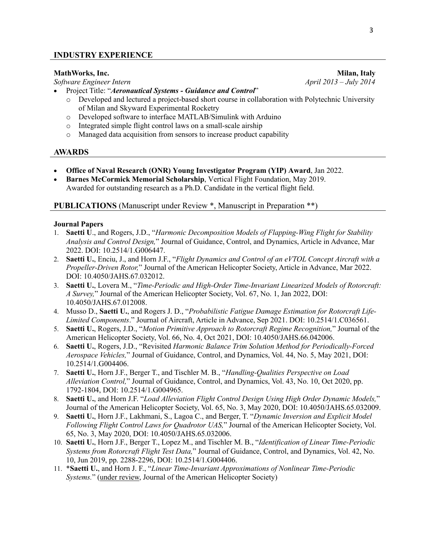*Software Engineer Intern* 

- Project Title: "*Aeronautical Systems - Guidance and Control*"
	- o Developed and lectured a project-based short course in collaboration with Polytechnic University of Milan and Skyward Experimental Rocketry
	- o Developed software to interface MATLAB/Simulink with Arduino
	- o Integrated simple flight control laws on a small-scale airship
	- o Managed data acquisition from sensors to increase product capability

# **AWARDS**

- **Office of Naval Research (ONR) Young Investigator Program (YIP) Award**, Jan 2022.
- **Barnes McCormick Memorial Scholarship**, Vertical Flight Foundation, May 2019. Awarded for outstanding research as a Ph.D. Candidate in the vertical flight field.

# **PUBLICATIONS** (Manuscript under Review \*, Manuscript in Preparation \*\*)

# **Journal Papers**

- 1. **Saetti U**., and Rogers, J.D., "*Harmonic Decomposition Models of Flapping-Wing Flight for Stability Analysis and Control Design,*" Journal of Guidance, Control, and Dynamics, Article in Advance, Mar 2022. DOI: 10.2514/1.G006447.
- 2. **Saetti U.**, Enciu, J., and Horn J.F., "*Flight Dynamics and Control of an eVTOL Concept Aircraft with a Propeller-Driven Rotor,*" Journal of the American Helicopter Society, Article in Advance, Mar 2022. DOI: 10.4050/JAHS.67.032012.
- 3. **Saetti U.**, Lovera M., "*Time-Periodic and High-Order Time-Invariant Linearized Models of Rotorcraft: A Survey,*" Journal of the American Helicopter Society, Vol. 67, No. 1, Jan 2022, DOI: 10.4050/JAHS.67.012008.
- 4. Musso D., **Saetti U.**, and Rogers J. D., "*Probabilistic Fatigue Damage Estimation for Rotorcraft Life-Limited Components*." Journal of Aircraft, Article in Advance, Sep 2021. DOI: 10.2514/1.C036561.
- 5. **Saetti U.**, Rogers, J.D., "*Motion Primitive Approach to Rotorcraft Regime Recognition,*" Journal of the American Helicopter Society, Vol. 66, No. 4, Oct 2021, DOI: 10.4050/JAHS.66.042006.
- 6. **Saetti U.**, Rogers, J.D., "Revisited *Harmonic Balance Trim Solution Method for Periodically-Forced Aerospace Vehicles,*" Journal of Guidance, Control, and Dynamics, Vol. 44, No. 5, May 2021, DOI: 10.2514/1.G004406.
- 7. **Saetti U.**, Horn J.F., Berger T., and Tischler M. B., "*Handling-Qualities Perspective on Load Alleviation Control,*" Journal of Guidance, Control, and Dynamics, Vol. 43, No. 10, Oct 2020, pp. 1792-1804, DOI: 10.2514/1.G004965.
- 8. **Saetti U.**, and Horn J.F. "*Load Alleviation Flight Control Design Using High Order Dynamic Models,*" Journal of the American Helicopter Society, Vol. 65, No. 3, May 2020, DOI: 10.4050/JAHS.65.032009.
- 9. **Saetti U.**, Horn J.F., Lakhmani, S., Lagoa C., and Berger, T. "*Dynamic Inversion and Explicit Model Following Flight Control Laws for Quadrotor UAS,*" Journal of the American Helicopter Society, Vol. 65, No. 3, May 2020, DOI: 10.4050/JAHS.65.032006.
- 10. **Saetti U.**, Horn J.F., Berger T., Lopez M., and Tischler M. B., "*Identification of Linear Time-Periodic Systems from Rotorcraft Flight Test Data,*" Journal of Guidance, Control, and Dynamics, Vol. 42, No. 10, Jun 2019, pp. 2288-2296, DOI: 10.2514/1.G004406.
- 11. \***Saetti U.**, and Horn J. F., "*Linear Time-Invariant Approximations of Nonlinear Time-Periodic Systems.*" (under review, Journal of the American Helicopter Society)

**MathWorks, Inc.** Milan, Italy Milan, Italy Milan, Italy Milan, Italy Milan, Italy April 2013 – July 2014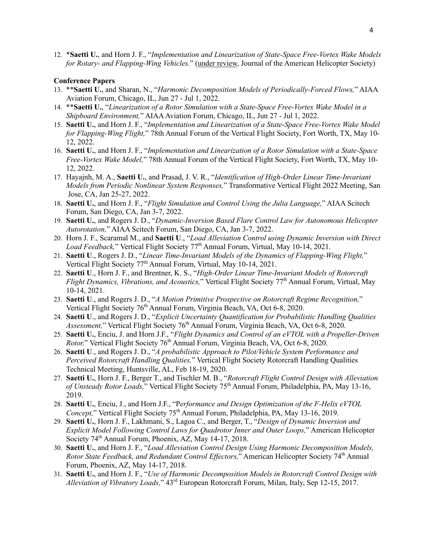12. \***Saetti U.**, and Horn J. F., "*Implementation and Linearization of State-Space Free-Vortex Wake Models for Rotary- and Flapping-Wing Vehicles.*" (under review, Journal of the American Helicopter Society)

#### **Conference Papers**

- 13. \*\***Saetti U.**, and Sharan, N., "*Harmonic Decomposition Models of Periodically-Forced Flows,*" AIAA Aviation Forum, Chicago, IL, Jun 27 - Jul 1, 2022.
- 14. \*\***Saetti U.**, "*Linearization of a Rotor Simulation with a State-Space Free-Vortex Wake Model in a Shipboard Environment,*" AIAA Aviation Forum, Chicago, IL, Jun 27 - Jul 1, 2022.
- 15. **Saetti U.**, and Horn J. F., "*Implementation and Linearization of a State-Space Free-Vortex Wake Model for Flapping-Wing Flight,*" 78th Annual Forum of the Vertical Flight Society, Fort Worth, TX, May 10- 12, 2022.
- 16. **Saetti U.**, and Horn J. F., "*Implementation and Linearization of a Rotor Simulation with a State-Space Free-Vortex Wake Model,*" 78th Annual Forum of the Vertical Flight Society, Fort Worth, TX, May 10- 12, 2022.
- 17. Hayajnh, M. A., **Saetti U.**, and Prasad, J. V. R., "*Identification of High-Order Linear Time-Invariant Models from Periodic Nonlinear System Responses,*" Transformative Vertical Flight 2022 Meeting, San Jose, CA, Jan 25-27, 2022.
- 18. **Saetti U.**, and Horn J. F., "*Flight Simulation and Control Using the Julia Language,*" AIAA Scitech Forum, San Diego, CA, Jan 3-7, 2022.
- 19. **Saetti U.**, and Rogers J. D., "*Dynamic-Inversion Based Flare Control Law for Autonomous Helicopter Autorotation,*" AIAA Scitech Forum, San Diego, CA, Jan 3-7, 2022.
- 20. Horn J. F., Scaramal M., and **Saetti U**., "*Load Alleviation Control using Dynamic Inversion with Direct Load Feedback*," Vertical Flight Society 77<sup>th</sup> Annual Forum, Virtual, May 10-14, 2021.
- 21. **Saetti U**., Rogers J. D., "*Linear Time-Invariant Models of the Dynamics of Flapping-Wing Flight,*" Vertical Flight Society 77<sup>th</sup> Annual Forum, Virtual, May 10-14, 2021.
- 22. **Saetti U**., Horn J. F., and Brentner, K. S., "*High-Order Linear Time-Invariant Models of Rotorcraft Flight Dynamics, Vibrations, and Acoustics,*" Vertical Flight Society 77th Annual Forum, Virtual, May 10-14, 2021.
- 23. **Saetti U**., and Rogers J. D., "*A Motion Primitive Prospective on Rotorcraft Regime Recognition,*" Vertical Flight Society 76<sup>th</sup> Annual Forum, Virginia Beach, VA, Oct 6-8, 2020.
- 24. **Saetti U**., and Rogers J. D., "*Explicit Uncertainty Quantification for Probabilistic Handling Qualities Assessment,*" Vertical Flight Society 76th Annual Forum, Virginia Beach, VA, Oct 6-8, 2020.
- 25. **Saetti U.**, Enciu, J. and Horn J.F., "*Flight Dynamics and Control of an eVTOL with a Propeller-Driven Rotor*," Vertical Flight Society 76<sup>th</sup> Annual Forum, Virginia Beach, VA, Oct 6-8, 2020.
- 26. **Saetti U**., and Rogers J. D., "*A probabilistic Approach to Pilot/Vehicle System Performance and Perceived Rotorcraft Handling Qualities,*" Vertical Flight Society Rotorcraft Handling Qualities Technical Meeting, Huntsville, AL, Feb 18-19, 2020.
- 27. **Saetti U.**, Horn J. F., Berger T., and Tischler M. B., "*Rotorcraft Flight Control Design with Alleviation of Unsteady Rotor Loads,*" Vertical Flight Society 75th Annual Forum, Philadelphia, PA, May 13-16, 2019.
- 28. **Saetti U.**, Enciu, J., and Horn J.F., "P*erformance and Design Optimization of the F-Helix eVTOL Concept,*" Vertical Flight Society 75<sup>th</sup> Annual Forum, Philadelphia, PA, May 13-16, 2019.
- 29. **Saetti U.**, Horn J. F., Lakhmani, S., Lagoa C., and Berger, T., "*Design of Dynamic Inversion and Explicit Model Following Control Laws for Quadrotor Inner and Outer Loops,*" American Helicopter Society 74<sup>th</sup> Annual Forum, Phoenix, AZ, May 14-17, 2018.
- 30. **Saetti U.**, and Horn J. F., "*Load Alleviation Control Design Using Harmonic Decomposition Models, Rotor State Feedback, and Redundant Control Effectors,*" American Helicopter Society 74<sup>th</sup> Annual Forum, Phoenix, AZ, May 14-17, 2018.
- 31. **Saetti U.**, and Horn J. F., "*Use of Harmonic Decomposition Models in Rotorcraft Control Design with Alleviation of Vibratory Loads,*" 43rd European Rotorcraft Forum, Milan, Italy, Sep 12-15, 2017.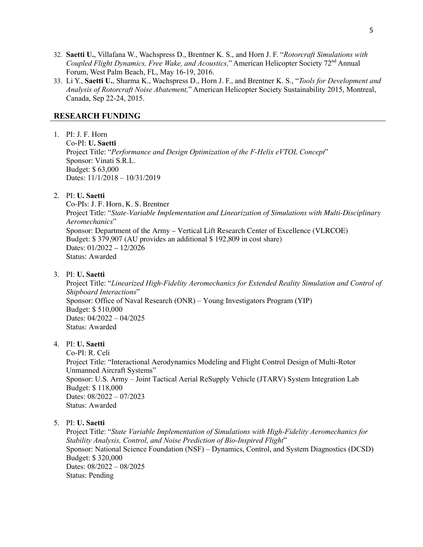- 32. **Saetti U.**, Villafana W., Wachspress D., Brentner K. S., and Horn J. F. "*Rotorcraft Simulations with Coupled Flight Dynamics, Free Wake, and Acoustics,*" American Helicopter Society 72<sup>nd</sup> Annual Forum, West Palm Beach, FL, May 16-19, 2016.
- 33. Li Y., **Saetti U.**, Sharma K., Wachspress D., Horn J. F., and Brentner K. S., "*Tools for Development and Analysis of Rotorcraft Noise Abatement,*" American Helicopter Society Sustainability 2015, Montreal, Canada, Sep 22-24, 2015.

# **RESEARCH FUNDING**

1. PI: J. F. Horn Co-PI: **U. Saetti** Project Title: "*Performance and Design Optimization of the F-Helix eVTOL Concept*" Sponsor: Vinati S.R.L. Budget: \$ 63,000 Dates: 11/1/2018 – 10/31/2019

### 2. PI: **U. Saetti**

Co-PIs: J. F. Horn, K. S. Brentner Project Title: "*State-Variable Implementation and Linearization of Simulations with Multi-Disciplinary Aeromechanics*" Sponsor: Department of the Army – Vertical Lift Research Center of Excellence (VLRCOE) Budget: \$ 379,907 (AU provides an additional \$ 192,809 in cost share) Dates: 01/2022 – 12/2026 Status: Awarded

### 3. PI: **U. Saetti**

Project Title: "*Linearized High-Fidelity Aeromechanics for Extended Reality Simulation and Control of Shipboard Interactions*" Sponsor: Office of Naval Research (ONR) – Young Investigators Program (YIP) Budget: \$ 510,000 Dates: 04/2022 – 04/2025 Status: Awarded

#### 4. PI: **U. Saetti**

Co-PI: R. Celi Project Title: "Interactional Aerodynamics Modeling and Flight Control Design of Multi-Rotor Unmanned Aircraft Systems" Sponsor: U.S. Army – Joint Tactical Aerial ReSupply Vehicle (JTARV) System Integration Lab Budget: \$ 118,000 Dates: 08/2022 – 07/2023 Status: Awarded

#### 5. PI: **U. Saetti**

Project Title: "*State Variable Implementation of Simulations with High-Fidelity Aeromechanics for Stability Analysis, Control, and Noise Prediction of Bio-Inspired Flight*" Sponsor: National Science Foundation (NSF) – Dynamics, Control, and System Diagnostics (DCSD) Budget: \$ 320,000 Dates: 08/2022 – 08/2025 Status: Pending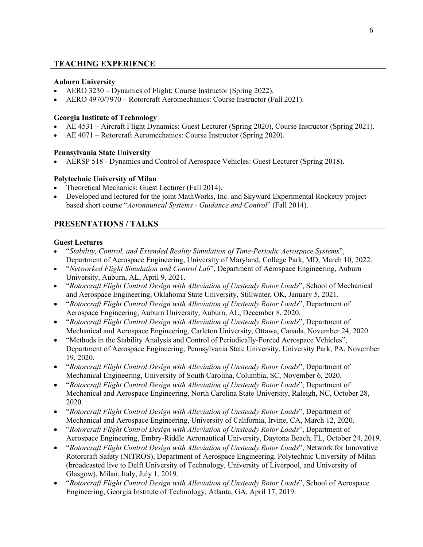# **TEACHING EXPERIENCE**

## **Auburn University**

- AERO 3230 Dynamics of Flight: Course Instructor (Spring 2022).
- AERO 4970/7970 Rotorcraft Aeromechanics: Course Instructor (Fall 2021).

### **Georgia Institute of Technology**

- AE 4531 Aircraft Flight Dynamics: Guest Lecturer (Spring 2020), Course Instructor (Spring 2021).
- AE 4071 Rotorcraft Aeromechanics: Course Instructor (Spring 2020).

### **Pennsylvania State University**

• AERSP 518 - Dynamics and Control of Aerospace Vehicles: Guest Lecturer (Spring 2018).

# **Polytechnic University of Milan**

- Theoretical Mechanics: Guest Lecturer (Fall 2014).
- Developed and lectured for the joint MathWorks, Inc. and Skyward Experimental Rocketry projectbased short course "*Aeronautical Systems - Guidance and Control*" (Fall 2014).

# **PRESENTATIONS / TALKS**

### **Guest Lectures**

- "*Stability, Control, and Extended Reality Simulation of Time-Periodic Aerospace Systems*", Department of Aerospace Engineering, University of Maryland, College Park, MD, March 10, 2022.
- "*Networked Flight Simulation and Control Lab*", Department of Aerospace Engineering, Auburn University, Auburn, AL, April 9, 2021.
- "*Rotorcraft Flight Control Design with Alleviation of Unsteady Rotor Loads*", School of Mechanical and Aerospace Engineering, Oklahoma State University, Stillwater, OK, January 5, 2021.
- "*Rotorcraft Flight Control Design with Alleviation of Unsteady Rotor Loads*", Department of Aerospace Engineering, Auburn University, Auburn, AL, December 8, 2020.
- "*Rotorcraft Flight Control Design with Alleviation of Unsteady Rotor Loads*", Department of Mechanical and Aerospace Engineering, Carleton University, Ottawa, Canada, November 24, 2020.
- "Methods in the Stability Analysis and Control of Periodically-Forced Aerospace Vehicles", Department of Aerospace Engineering, Pennsylvania State University, University Park, PA, November 19, 2020.
- "*Rotorcraft Flight Control Design with Alleviation of Unsteady Rotor Loads*", Department of Mechanical Engineering, University of South Carolina, Columbia, SC, November 6, 2020.
- "*Rotorcraft Flight Control Design with Alleviation of Unsteady Rotor Loads*", Department of Mechanical and Aerospace Engineering, North Carolina State University, Raleigh, NC, October 28, 2020.
- "*Rotorcraft Flight Control Design with Alleviation of Unsteady Rotor Loads*", Department of Mechanical and Aerospace Engineering, University of California, Irvine, CA, March 12, 2020.
- "*Rotorcraft Flight Control Design with Alleviation of Unsteady Rotor Loads*", Department of Aerospace Engineering, Embry-Riddle Aeronautical University, Daytona Beach, FL, October 24, 2019.
- "*Rotorcraft Flight Control Design with Alleviation of Unsteady Rotor Loads*", Network for Innovative Rotorcraft Safety (NITROS), Department of Aerospace Engineering, Polytechnic University of Milan (broadcasted live to Delft University of Technology, University of Liverpool, and University of Glasgow), Milan, Italy, July 1, 2019.
- "*Rotorcraft Flight Control Design with Alleviation of Unsteady Rotor Loads*", School of Aerospace Engineering, Georgia Institute of Technology, Atlanta, GA, April 17, 2019.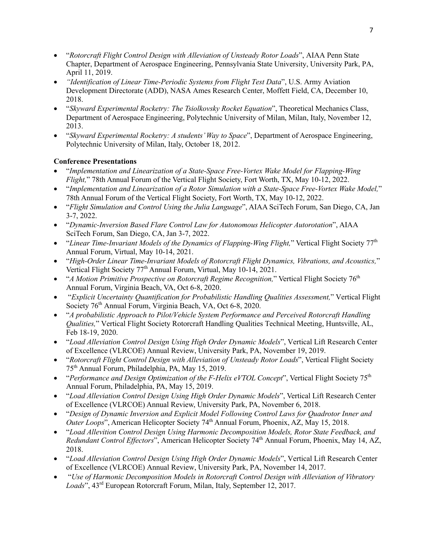- "*Rotorcraft Flight Control Design with Alleviation of Unsteady Rotor Loads*", AIAA Penn State Chapter, Department of Aerospace Engineering, Pennsylvania State University, University Park, PA, April 11, 2019.
- *"Identification of Linear Time-Periodic Systems from Flight Test Data*", U.S. Army Aviation Development Directorate (ADD), NASA Ames Research Center, Moffett Field, CA, December 10, 2018.
- "*Skyward Experimental Rocketry: The Tsiolkovsky Rocket Equation*", Theoretical Mechanics Class, Department of Aerospace Engineering, Polytechnic University of Milan, Milan, Italy, November 12, 2013.
- "*Skyward Experimental Rocketry: A students' Way to Space*", Department of Aerospace Engineering, Polytechnic University of Milan, Italy, October 18, 2012.

# **Conference Presentations**

- "*Implementation and Linearization of a State-Space Free-Vortex Wake Model for Flapping-Wing Flight,*" 78th Annual Forum of the Vertical Flight Society, Fort Worth, TX, May 10-12, 2022.
- "*Implementation and Linearization of a Rotor Simulation with a State-Space Free-Vortex Wake Model,*" 78th Annual Forum of the Vertical Flight Society, Fort Worth, TX, May 10-12, 2022.
- "*Flight Simulation and Control Using the Julia Language*", AIAA SciTech Forum, San Diego, CA, Jan 3-7, 2022.
- "*Dynamic-Inversion Based Flare Control Law for Autonomous Helicopter Autorotation*", AIAA SciTech Forum, San Diego, CA, Jan 3-7, 2022.
- "*Linear Time-Invariant Models of the Dynamics of Flapping-Wing Flight*," Vertical Flight Society 77<sup>th</sup> Annual Forum, Virtual, May 10-14, 2021.
- "*High-Order Linear Time-Invariant Models of Rotorcraft Flight Dynamics, Vibrations, and Acoustics,*" Vertical Flight Society 77<sup>th</sup> Annual Forum, Virtual, May 10-14, 2021.
- "*A Motion Primitive Prospective on Rotorcraft Regime Recognition,*" Vertical Flight Society 76th Annual Forum, Virginia Beach, VA, Oct 6-8, 2020.
- "*Explicit Uncertainty Quantification for Probabilistic Handling Qualities Assessment,*" Vertical Flight Society 76<sup>th</sup> Annual Forum, Virginia Beach, VA, Oct 6-8, 2020.
- "*A probabilistic Approach to Pilot/Vehicle System Performance and Perceived Rotorcraft Handling Qualities,*" Vertical Flight Society Rotorcraft Handling Qualities Technical Meeting, Huntsville, AL, Feb 18-19, 2020.
- "*Load Alleviation Control Design Using High Order Dynamic Models*", Vertical Lift Research Center of Excellence (VLRCOE) Annual Review, University Park, PA, November 19, 2019.
- "*Rotorcraft Flight Control Design with Alleviation of Unsteady Rotor Loads*", Vertical Flight Society 75th Annual Forum, Philadelphia, PA, May 15, 2019.
- "*Performance and Design Optimization of the F-Helix eVTOL Concept*", Vertical Flight Society 75<sup>th</sup> Annual Forum, Philadelphia, PA, May 15, 2019.
- "*Load Alleviation Control Design Using High Order Dynamic Models*", Vertical Lift Research Center of Excellence (VLRCOE) Annual Review, University Park, PA, November 6, 2018.
- "*Design of Dynamic Inversion and Explicit Model Following Control Laws for Quadrotor Inner and Outer Loops*", American Helicopter Society 74<sup>th</sup> Annual Forum, Phoenix, AZ, May 15, 2018.
- "*Load Allevition Control Design Using Harmonic Decomposition Models, Rotor State Feedback, and Redundant Control Effectors*", American Helicopter Society 74<sup>th</sup> Annual Forum, Phoenix, May 14, AZ, 2018.
- "*Load Alleviation Control Design Using High Order Dynamic Models*", Vertical Lift Research Center of Excellence (VLRCOE) Annual Review, University Park, PA, November 14, 2017.
- "*Use of Harmonic Decomposition Models in Rotorcraft Control Design with Alleviation of Vibratory Loads*", 43rd European Rotorcraft Forum, Milan, Italy, September 12, 2017.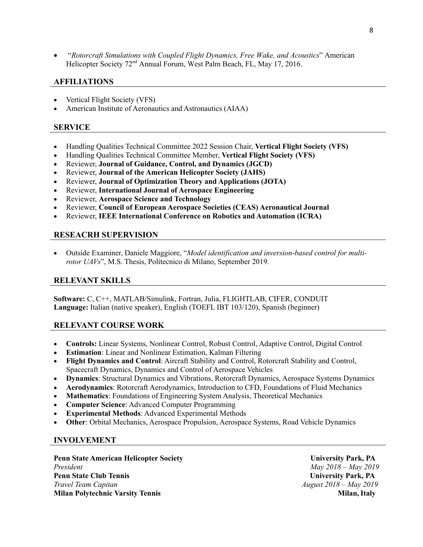• "*Rotorcraft Simulations with Coupled Flight Dynamics, Free Wake, and Acoustics*" American Helicopter Society 72<sup>nd</sup> Annual Forum, West Palm Beach, FL, May 17, 2016.

# **AFFILIATIONS**

- Vertical Flight Society (VFS)
- American Institute of Aeronautics and Astronautics (AIAA)

### **SERVICE**

- Handling Qualities Technical Committee 2022 Session Chair, **Vertical Flight Society (VFS)**
- Handling Qualities Technical Committee Member, **Vertical Flight Society (VFS)**
- Reviewer, **Journal of Guidance, Control, and Dynamics (JGCD)**
- Reviewer, **Journal of the American Helicopter Society (JAHS)**
- Reviewer, **Journal of Optimization Theory and Applications (JOTA)**
- Reviewer, **International Journal of Aerospace Engineering**
- Reviewer, **Aerospace Science and Technology**
- Reviewer, **Council of European Aerospace Societies (CEAS) Aeronautical Journal**
- Reviewer, **IEEE International Conference on Robotics and Automation (ICRA)**

# **RESEACRH SUPERVISION**

• Outside Examiner, Daniele Maggiore, "*Model identification and inversion-based control for multirotor UAVs*", M.S. Thesis, Politecnico di Milano, September 2019.

#### **RELEVANT SKILLS**

**Software:** C, C++, MATLAB/Simulink, Fortran, Julia, FLIGHTLAB, CIFER, CONDUIT **Language:** Italian (native speaker), English (TOEFL IBT 103/120), Spanish (beginner)

# **RELEVANT COURSE WORK**

- **Controls:** Linear Systems, Nonlinear Control, Robust Control, Adaptive Control, Digital Control
- **Estimation**: Linear and Nonlinear Estimation, Kalman Filtering
- **Flight Dynamics and Control**: Aircraft Stability and Control, Rotorcraft Stability and Control, Spacecraft Dynamics, Dynamics and Control of Aerospace Vehicles
- **Dynamics**: Structural Dynamics and Vibrations, Rotorcraft Dynamics, Aerospace Systems Dynamics
- **Aerodynamics**: Rotorcraft Aerodynamics, Introduction to CFD, Foundations of Fluid Mechanics
- **Mathematics**: Foundations of Engineering System Analysis, Theoretical Mechanics
- **Computer Science**: Advanced Computer Programming
- **Experimental Methods**: Advanced Experimental Methods
- **Other**: Orbital Mechanics, Aerospace Propulsion, Aerospace Systems, Road Vehicle Dynamics

# **INVOLVEMENT**

Penn State American Helicopter Society **Accord 2018 12 September 2018** University Park, PA *President May 2018 – May 2019* **Penn State Club Tennis Community Park, PA** *Travel Team Capitan August 2018 – May 2019* **Milan Polytechnic Varsity Tennis Milan, Italy** Milan, Italy